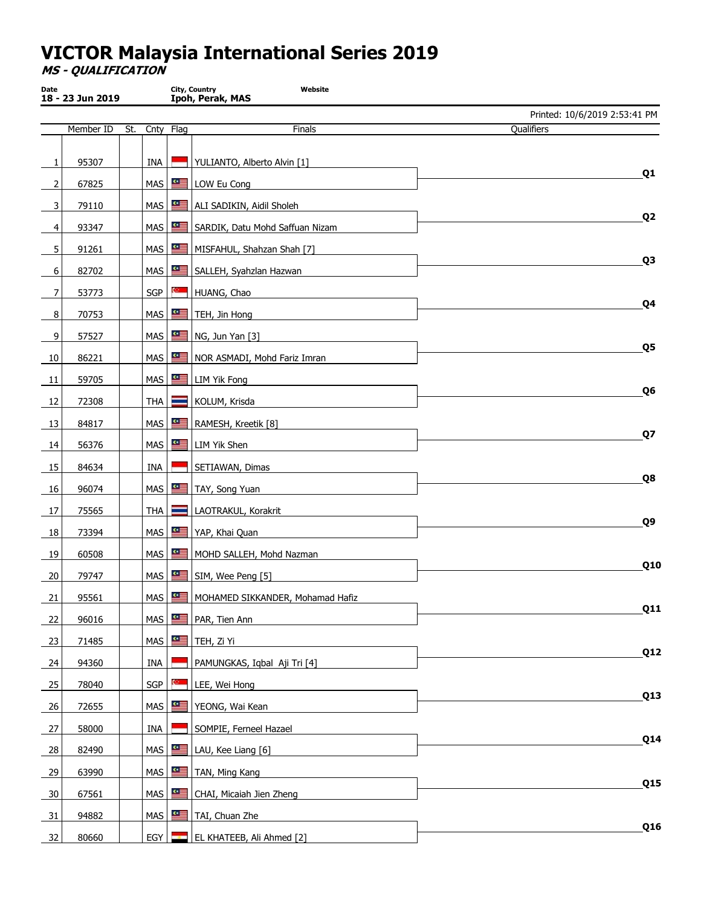MS - QUALIFICATION

| Date           | 18 - 23 Jun 2019 |     |                  |                     | City, Country<br>Website<br>Ipoh, Perak, MAS |                               |
|----------------|------------------|-----|------------------|---------------------|----------------------------------------------|-------------------------------|
|                |                  |     |                  |                     |                                              | Printed: 10/6/2019 2:53:41 PM |
|                | Member ID        | St. |                  | Cnty Flag           | Finals                                       | Qualifiers                    |
| 1              | 95307            |     | INA              |                     | YULIANTO, Alberto Alvin [1]                  |                               |
| 2              | 67825            |     | MAS              | ≝                   | LOW Eu Cong                                  | Q <sub>1</sub>                |
| 3              | 79110            |     |                  | MAS                 | ALI SADIKIN, Aidil Sholeh                    |                               |
| 4              | 93347            |     | <b>MAS</b>       | 一                   | SARDIK, Datu Mohd Saffuan Nizam              | Q <sub>2</sub>                |
| 5              | 91261            |     | <b>MAS</b>       | ≝                   | MISFAHUL, Shahzan Shah [7]                   |                               |
| 6              | 82702            |     | <b>MAS</b>       | ≝                   | SALLEH, Syahzlan Hazwan                      | Q3                            |
| 7              | 53773            |     | SGP              | ç.                  | HUANG, Chao                                  |                               |
| 8              | 70753            |     | MAS              | li                  | TEH, Jin Hong                                | Q4                            |
| 9              | 57527            |     | MAS <sup>I</sup> | "                   | NG, Jun Yan [3]                              |                               |
| 10             | 86221            |     | <b>MAS</b>       | 一                   | NOR ASMADI, Mohd Fariz Imran                 | Q5                            |
| 11             | 59705            |     | MAS              | ≝                   | <b>LIM Yik Fong</b>                          |                               |
| 12             | 72308            |     | THA              | <b>Contract</b>     | KOLUM, Krisda                                | Q <sub>6</sub>                |
| 13             | 84817            |     | MAS              | lli                 | RAMESH, Kreetik [8]                          |                               |
| 14             | 56376            |     | MAS              | ≝                   | LIM Yik Shen                                 | Q7                            |
| 15             | 84634            |     | INA              |                     | SETIAWAN, Dimas                              |                               |
| 16             | 96074            |     | <b>MAS</b>       | ≝                   | TAY, Song Yuan                               | Q8                            |
| 17             | 75565            |     | <b>THA</b>       | <b>Report</b>       | LAOTRAKUL, Korakrit                          |                               |
| 18             | 73394            |     | MAS              | "                   | YAP, Khai Quan                               | Q9                            |
| 19             | 60508            |     | <b>MAS</b>       | ≝                   | MOHD SALLEH, Mohd Nazman                     |                               |
| 20             | 79747            |     |                  | $MAS$ $\frac{a}{2}$ | SIM, Wee Peng [5]                            | Q10                           |
| 21             | 95561            |     |                  |                     | MAS   MOHAMED SIKKANDER, Mohamad Hafiz       |                               |
| $\frac{22}{2}$ | 96016            |     | MAS              | ≝                   | PAR, Tien Ann                                | Q11                           |
| 23             | 71485            |     |                  |                     | MAS $\mathbf{H}$ $\mathbf{H}$ TEH, Zi Yi     |                               |
| 24             | 94360            |     | INA              |                     | PAMUNGKAS, Iqbal Aji Tri [4]                 | Q12                           |
| 25             | 78040            |     | <b>SGP</b>       | <b>COMPA</b>        | LEE, Wei Hong                                |                               |
| $-26$          | 72655            |     |                  |                     | MAS   YEONG, Wai Kean                        | Q13                           |
| 27             | 58000            |     | <b>INA</b>       |                     | SOMPIE, Ferneel Hazael                       |                               |
| 28             | 82490            |     |                  | $MAS$ $\frac{a}{2}$ | LAU, Kee Liang [6]                           | Q14                           |
| 29             | 63990            |     |                  | $MAS$ $\frac{a}{2}$ | TAN, Ming Kang                               |                               |
| 30             | 67561            |     | MAS              | 1.                  | CHAI, Micaiah Jien Zheng                     | Q15                           |
| 31             | 94882            |     |                  | $MAS$ $\equiv$      | TAI, Chuan Zhe                               |                               |
| 32             | 80660            |     | EGY              |                     | EL KHATEEB, Ali Ahmed [2]                    | Q16                           |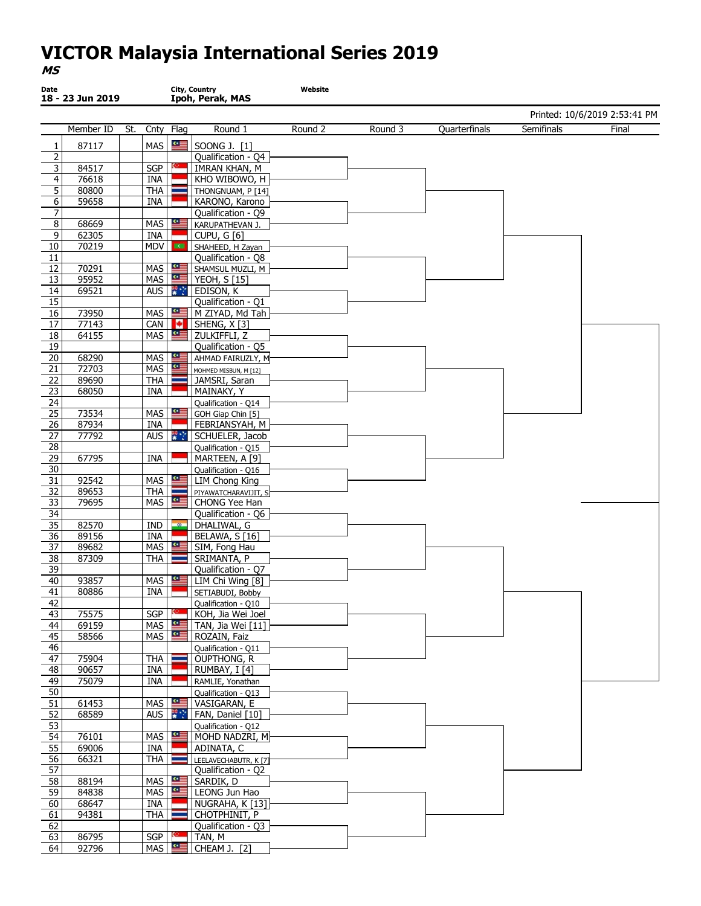#### Date 18 - 23 Jun 2019 City, Country Ipoh, Perak, MAS Website Printed: 10/6/2019 2:53:41 PM Member ID St. Cnty Flag Round 1  $1 \mid 87117 \mid \frac{\mid \text{MAS} \mid \text{SS} \mid \text{S2} \mid \text{S2} \mid \text{S3} \mid \text{S1}}{\mid \text{S3} \mid \text{S1} \mid \text{S1} \mid \text{S1} \mid \text{S2} \mid \text{S2} \mid \text{S3} \mid \text{S3} \mid \text{S4} \mid \text{S5} \mid \text{S5} \mid \text{S6} \mid \text{S6} \mid \text{S7} \mid \text{S7} \mid \text{S8} \mid \text{S8} \mid \text{S9} \mid \text{S9} \mid \text{S1} \$ 2 Qualification - Q4<br>3 84517 SGP | MRAN KHAN, M 3 84517 SGP MRAN KHAN, M<br>4 76618 JNA KHO WIBOWO, H 4 76618 | INA KHO WIBOWO, H<br>5 80800 | THA THONGNUAM, P [14] 80800 | | THA | | | THONGNUAM, P [14] 6 59658 | | INA | | KARONO, Karono 7 | | | | | Qualification - Q9 8 68669 MAS KARUPATHEVAN J. 9 62305 | INA CUPU, G [6]<br>10 70219 | MDV | SHAHEED, H Z 10 70219 MDV SHAHEED, H Zayan<br>11 Oualification - O8 Qualification - Q8 12 70291 MAS SHAMSUL MUZLI, M 13 95952 MAS YEOH, S [15] 14 69521 AUS FRIEDISON, K Qualification - Q1 16 73950 MAS ME M ZIYAD, Md Tah 17 77143 CAN SHENG, X [3]<br>18 64155 MAS SE ZULKIFFLI, Z 18 64155 MAS ZULKIFFLI, Z 19 Qualification - Q5<br>
20 68290 MAS | MAS | AHMAD FAIRUZLY. 20 68290 MAS AHMAD FAIRUZLY, M 21 72703 MAS MOHMED MISBUN, M [12] 22 89690 THA JAMSRI, Saran<br>23 68050 INA MAINAKY, Y 23 68050 INA MAINAKY, Y<br>24 Qualification 24 Qualification - Q14<br>25 73534 MAS CH GOH Giap Chin [5] GOH Giap Chin [5] 26 87934 INA FEBRIANSYAH, M 27 77792 AUS SCHUELER, Jacob<br>28 Qualification - 015 Qualification - Q15 29 67795 INA MARTEEN, A [9]<br>30 Qualification - Q16 Qualification - Q16 31 92542 | | MAS | | | | LIM Chong King 32 89653 THA PIYAWATCHARAVIJIT, S<br>33 79695 MAS E CHONG Yee Han  $79695$  | MAS  $\frac{25}{10}$  | CHONG Yee Han 34 Qualification - Q6 35 82570 | IND | DHALIWAL, G 36 89156 INA BELAWA, S [16]<br>37 89682 MAS SE SIM, Fong Hau 37 89682 MAS SIM, Fong Hau<br>38 87309 THA SRIMANTA, P SRIMANTA, P 39 | | | | Qualification - Q7 40 93857 MAS LIM Chi Wing [8]<br>41 80886 INA SETIABUDI, Bobby 80886 | | | INA | | | | SETIABUDI, Bobby 42 **Qualification - Q10** 43 75575 SGP KGH, Jia Wei Joel<br>44 69159 MAS SUE TAN, Jia Wei [11]  $\begin{array}{|c|c|c|c|c|}\n\hline\n\text{69159} & \text{MAS} & \text{TAN, Jia Wei [11]} \\
\hline\n\text{69156} & \text{MAS} & \text{BOZAIN} & \text{Ee} \\
\hline\n\end{array}$ 45 58566 MAS ROZAIN, Faiz<br>46 Qualification - Qualification - Q Qualification - Q11 47 75904 THA OUPTHONG, R 48 90657 INA RUMBAY, I [4] 49 75079 INA RAMLIE, Yonathan<br>50 Qualification - Q13 Qualification - Q13 51 61453 MAS VASIGARAN, E<br>52 68589 AUS VERN, Daniel [10] 52 68589 AUS **FAN**, Daniel [10] 53 Qualification - Q12 54 76101 MAS ME MOHD NADZRI, M<br>55 69006 INA ADINATA, C 69006 INA ADINATA, C<br>66321 THA ELEELAVECHABUT **56 66321 THA LEELAVECHABUTR, K [7]**<br>57 Oualification - 02 57 Qualification - Q2 58 88194 MAS SARDIK, D<br>59 84838 MAS SE LEONG Jur 59 84838 MAS LEONG Jun Hao<br>60 68647 INA NUGRAHA, K [1] NUGRAHA, K [13] 61 94381 | | THA | CHOTPHINIT, P 62 | | | | | | | Qualification - Q3 63 86795 SGP TAN, M<br>64 92796 MAS SE CHEAM 64 92796 | MAS | SE | CHEAM J. [2] Round 2 Round 3 Quarterfinals Semifinals Final

MS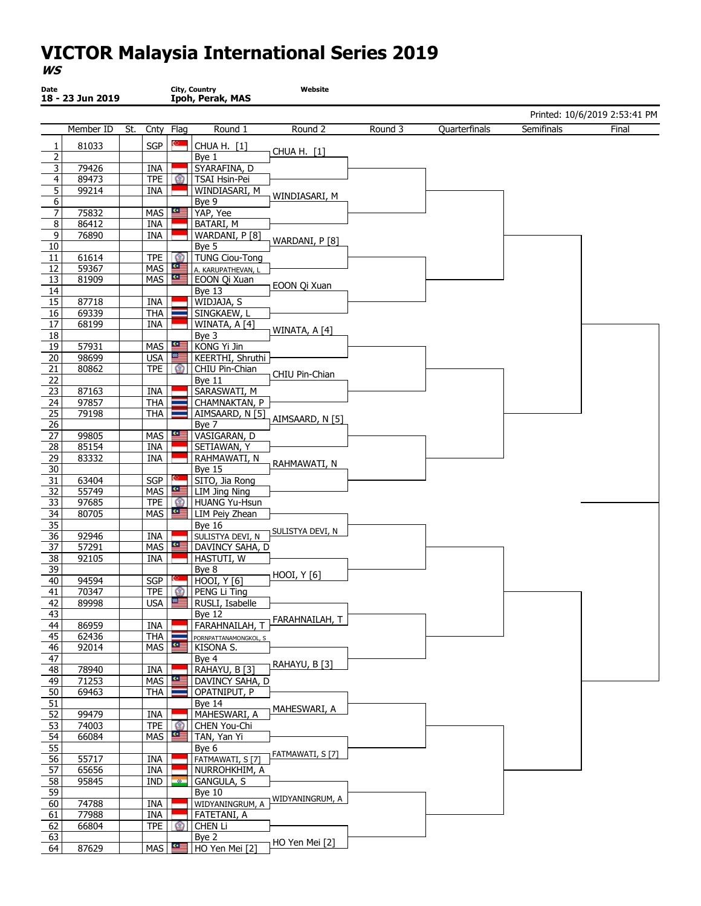| Printed: 10/6/2019 2:53:41 PM<br>Semifinals<br>Member ID<br>St.<br>Flag<br>Round 1<br>Round 2<br>Round 3<br>Quarterfinals<br>Final<br>Cnty<br>C.<br>81033<br><b>SGP</b><br>CHUA H. [1]<br>1<br>CHUA H. [1]<br>$\overline{2}$<br>Bye 1<br>3<br>79426<br><b>INA</b><br>SYARAFINA, D<br>$\overline{4}$<br>TPE  <br>TSAI Hsin-Pei<br>89473<br>$\circ$<br>$\overline{5}$<br>99214<br>INA<br>WINDIASARI, M<br>WINDIASARI, M<br>6<br>Bye 9<br>$\overline{7}$<br>YAP, Yee<br>75832<br><b>MAS</b><br>华国<br>$\overline{8}$<br>86412<br><b>INA</b><br>BATARI, M<br>$\overline{9}$<br>76890<br><b>INA</b><br>WARDANI, P [8]<br>WARDANI, P [8]<br>10<br>Bye 5<br><b>TUNG Ciou-Tong</b><br>11<br>61614<br><b>TPE</b><br>$\circ$<br>等<br>59367<br>MAS<br>12<br>A. KARUPATHEVAN, L<br>81909<br>MAS $\frac{dE}{dt}$<br>13<br>EOON Qi Xuan<br>EOON Qi Xuan<br>14<br>Bye 13<br>$\overline{15}$<br>87718<br>INA<br>WIDJAJA, S<br>69339<br>16<br>THA<br>SINGKAEW, L<br>$\overline{17}$<br>68199<br><b>INA</b><br>WINATA, A [4]<br>WINATA, A [4]<br>$18\,$<br>Bye 3<br>19<br><b>MAS</b><br>KONG Yi Jin<br>57931<br>些<br>$\overline{20}$<br>98699<br><b>USA</b><br>KEERTHI, Shruthi<br>≝≝<br>80862<br>TPE<br>21<br>CHIU Pin-Chian<br>$\Omega$<br>CHIU Pin-Chian<br>22<br>Bye 11<br>23<br>SARASWATI, M<br>87163<br>INA<br>97857<br><b>THA</b><br>24<br>CHAMNAKTAN, P<br>$\overline{25}$<br>79198<br><b>THA</b><br>AIMSAARD, N [5]<br>AIMSAARD, N [5]<br>26<br>Bye 7<br>$\overline{27}$<br>些<br>99805<br>MAS<br>VASIGARAN, D<br>28<br>85154<br><b>INA</b><br>SETIAWAN, Y<br>29<br>83332<br>INA<br>RAHMAWATI, N<br>RAHMAWATI, N<br>$\overline{30}$<br>Bye 15<br>$\overline{31}$<br>SGP<br>SITO, Jia Rong<br>63404<br>55749<br>MAS<br>≝≅<br>32<br>LIM Jing Ning<br>33<br>97685<br><b>TPE</b><br>HUANG Yu-Hsun<br>$MAS$ $\frac{dE}{dt}$<br>80705<br>34<br>LIM Peiy Zhean<br>35<br><b>Bye 16</b><br>SULISTYA DEVI, N<br>36<br>92946<br>INA<br>SULISTYA DEVI, N<br>$MAS$ $\frac{a}{2}$<br>57291<br>37<br>DAVINCY SAHA, D<br>38<br>92105<br><b>INA</b><br>HASTUTI, W<br>39<br>Bye 8<br>HOOI, Y [6]<br>HOOI, Y [6]<br>40<br>94594<br>SGP<br>70347<br>PENG Li Ting<br>41<br>TPE <b>O</b><br>≝≝<br>USA<br>89998<br>RUSLI, Isabelle<br><u>42</u><br>43<br>Bye 12<br>FARAHNAILAH, T<br>44<br>86959<br>INA<br>FARAHNAILAH, T<br>45<br>62436<br>THA<br>PORNPATTANAMONGKOL, S<br>一<br>46<br>MAS<br>92014<br>KISONA S.<br>$\overline{47}$<br>Bye 4<br>RAHAYU, B [3]<br>48<br>RAHAYU, B [3]<br>78940<br>INA<br>71253<br>$MAS$ $\frac{dE}{dt}$<br>49<br>DAVINCY SAHA, D<br>50<br>69463<br><b>THA</b><br>OPATNIPUT, P<br>51<br>Bye 14<br>MAHESWARI, A<br>52<br>MAHESWARI, A<br>99479<br>INA<br>53<br>74003<br>$TPE    \circledS$<br>CHEN You-Chi<br>一<br>54<br><b>MAS</b><br>66084<br>TAN, Yan Yi<br>$\overline{55}$<br>Bye 6<br>FATMAWATI, S [7]<br>56<br>55717<br>INA<br>FATMAWATI, S [7]<br>65656<br>57<br>INA<br>NURROHKHIM, A<br>$\overline{58}$<br>95845<br>IND<br>GANGULA, S<br>$-20-$<br>59<br>Bye 10<br>WIDYANINGRUM, A<br>60<br>74788<br>INA<br>WIDYANINGRUM, A<br>77988<br>INA<br>FATETANI, A<br>61<br>62<br>66804<br><b>TPE</b><br>CHEN Li<br>$\mathbb{C}$<br>63<br>Bye 2<br>HO Yen Mei [2]<br>64<br>87629<br>MAS<br>华国<br>HO Yen Mei [2] | Date | 18 - 23 Jun 2019 |  | City, Country<br>Ipoh, Perak, MAS | Website |  |  |
|------------------------------------------------------------------------------------------------------------------------------------------------------------------------------------------------------------------------------------------------------------------------------------------------------------------------------------------------------------------------------------------------------------------------------------------------------------------------------------------------------------------------------------------------------------------------------------------------------------------------------------------------------------------------------------------------------------------------------------------------------------------------------------------------------------------------------------------------------------------------------------------------------------------------------------------------------------------------------------------------------------------------------------------------------------------------------------------------------------------------------------------------------------------------------------------------------------------------------------------------------------------------------------------------------------------------------------------------------------------------------------------------------------------------------------------------------------------------------------------------------------------------------------------------------------------------------------------------------------------------------------------------------------------------------------------------------------------------------------------------------------------------------------------------------------------------------------------------------------------------------------------------------------------------------------------------------------------------------------------------------------------------------------------------------------------------------------------------------------------------------------------------------------------------------------------------------------------------------------------------------------------------------------------------------------------------------------------------------------------------------------------------------------------------------------------------------------------------------------------------------------------------------------------------------------------------------------------------------------------------------------------------------------------------------------------------------------------------------------------------------------------------------------------------------------------------------------------------------------------------------------------------------------------------------------------------------------------------------------------------------------------------------------------------------------------------------------------------------------------------------------------------------------------------------------------------------------|------|------------------|--|-----------------------------------|---------|--|--|
|                                                                                                                                                                                                                                                                                                                                                                                                                                                                                                                                                                                                                                                                                                                                                                                                                                                                                                                                                                                                                                                                                                                                                                                                                                                                                                                                                                                                                                                                                                                                                                                                                                                                                                                                                                                                                                                                                                                                                                                                                                                                                                                                                                                                                                                                                                                                                                                                                                                                                                                                                                                                                                                                                                                                                                                                                                                                                                                                                                                                                                                                                                                                                                                                            |      |                  |  |                                   |         |  |  |
|                                                                                                                                                                                                                                                                                                                                                                                                                                                                                                                                                                                                                                                                                                                                                                                                                                                                                                                                                                                                                                                                                                                                                                                                                                                                                                                                                                                                                                                                                                                                                                                                                                                                                                                                                                                                                                                                                                                                                                                                                                                                                                                                                                                                                                                                                                                                                                                                                                                                                                                                                                                                                                                                                                                                                                                                                                                                                                                                                                                                                                                                                                                                                                                                            |      |                  |  |                                   |         |  |  |
|                                                                                                                                                                                                                                                                                                                                                                                                                                                                                                                                                                                                                                                                                                                                                                                                                                                                                                                                                                                                                                                                                                                                                                                                                                                                                                                                                                                                                                                                                                                                                                                                                                                                                                                                                                                                                                                                                                                                                                                                                                                                                                                                                                                                                                                                                                                                                                                                                                                                                                                                                                                                                                                                                                                                                                                                                                                                                                                                                                                                                                                                                                                                                                                                            |      |                  |  |                                   |         |  |  |
|                                                                                                                                                                                                                                                                                                                                                                                                                                                                                                                                                                                                                                                                                                                                                                                                                                                                                                                                                                                                                                                                                                                                                                                                                                                                                                                                                                                                                                                                                                                                                                                                                                                                                                                                                                                                                                                                                                                                                                                                                                                                                                                                                                                                                                                                                                                                                                                                                                                                                                                                                                                                                                                                                                                                                                                                                                                                                                                                                                                                                                                                                                                                                                                                            |      |                  |  |                                   |         |  |  |
|                                                                                                                                                                                                                                                                                                                                                                                                                                                                                                                                                                                                                                                                                                                                                                                                                                                                                                                                                                                                                                                                                                                                                                                                                                                                                                                                                                                                                                                                                                                                                                                                                                                                                                                                                                                                                                                                                                                                                                                                                                                                                                                                                                                                                                                                                                                                                                                                                                                                                                                                                                                                                                                                                                                                                                                                                                                                                                                                                                                                                                                                                                                                                                                                            |      |                  |  |                                   |         |  |  |
|                                                                                                                                                                                                                                                                                                                                                                                                                                                                                                                                                                                                                                                                                                                                                                                                                                                                                                                                                                                                                                                                                                                                                                                                                                                                                                                                                                                                                                                                                                                                                                                                                                                                                                                                                                                                                                                                                                                                                                                                                                                                                                                                                                                                                                                                                                                                                                                                                                                                                                                                                                                                                                                                                                                                                                                                                                                                                                                                                                                                                                                                                                                                                                                                            |      |                  |  |                                   |         |  |  |
|                                                                                                                                                                                                                                                                                                                                                                                                                                                                                                                                                                                                                                                                                                                                                                                                                                                                                                                                                                                                                                                                                                                                                                                                                                                                                                                                                                                                                                                                                                                                                                                                                                                                                                                                                                                                                                                                                                                                                                                                                                                                                                                                                                                                                                                                                                                                                                                                                                                                                                                                                                                                                                                                                                                                                                                                                                                                                                                                                                                                                                                                                                                                                                                                            |      |                  |  |                                   |         |  |  |
|                                                                                                                                                                                                                                                                                                                                                                                                                                                                                                                                                                                                                                                                                                                                                                                                                                                                                                                                                                                                                                                                                                                                                                                                                                                                                                                                                                                                                                                                                                                                                                                                                                                                                                                                                                                                                                                                                                                                                                                                                                                                                                                                                                                                                                                                                                                                                                                                                                                                                                                                                                                                                                                                                                                                                                                                                                                                                                                                                                                                                                                                                                                                                                                                            |      |                  |  |                                   |         |  |  |
|                                                                                                                                                                                                                                                                                                                                                                                                                                                                                                                                                                                                                                                                                                                                                                                                                                                                                                                                                                                                                                                                                                                                                                                                                                                                                                                                                                                                                                                                                                                                                                                                                                                                                                                                                                                                                                                                                                                                                                                                                                                                                                                                                                                                                                                                                                                                                                                                                                                                                                                                                                                                                                                                                                                                                                                                                                                                                                                                                                                                                                                                                                                                                                                                            |      |                  |  |                                   |         |  |  |
|                                                                                                                                                                                                                                                                                                                                                                                                                                                                                                                                                                                                                                                                                                                                                                                                                                                                                                                                                                                                                                                                                                                                                                                                                                                                                                                                                                                                                                                                                                                                                                                                                                                                                                                                                                                                                                                                                                                                                                                                                                                                                                                                                                                                                                                                                                                                                                                                                                                                                                                                                                                                                                                                                                                                                                                                                                                                                                                                                                                                                                                                                                                                                                                                            |      |                  |  |                                   |         |  |  |
|                                                                                                                                                                                                                                                                                                                                                                                                                                                                                                                                                                                                                                                                                                                                                                                                                                                                                                                                                                                                                                                                                                                                                                                                                                                                                                                                                                                                                                                                                                                                                                                                                                                                                                                                                                                                                                                                                                                                                                                                                                                                                                                                                                                                                                                                                                                                                                                                                                                                                                                                                                                                                                                                                                                                                                                                                                                                                                                                                                                                                                                                                                                                                                                                            |      |                  |  |                                   |         |  |  |
|                                                                                                                                                                                                                                                                                                                                                                                                                                                                                                                                                                                                                                                                                                                                                                                                                                                                                                                                                                                                                                                                                                                                                                                                                                                                                                                                                                                                                                                                                                                                                                                                                                                                                                                                                                                                                                                                                                                                                                                                                                                                                                                                                                                                                                                                                                                                                                                                                                                                                                                                                                                                                                                                                                                                                                                                                                                                                                                                                                                                                                                                                                                                                                                                            |      |                  |  |                                   |         |  |  |
|                                                                                                                                                                                                                                                                                                                                                                                                                                                                                                                                                                                                                                                                                                                                                                                                                                                                                                                                                                                                                                                                                                                                                                                                                                                                                                                                                                                                                                                                                                                                                                                                                                                                                                                                                                                                                                                                                                                                                                                                                                                                                                                                                                                                                                                                                                                                                                                                                                                                                                                                                                                                                                                                                                                                                                                                                                                                                                                                                                                                                                                                                                                                                                                                            |      |                  |  |                                   |         |  |  |
|                                                                                                                                                                                                                                                                                                                                                                                                                                                                                                                                                                                                                                                                                                                                                                                                                                                                                                                                                                                                                                                                                                                                                                                                                                                                                                                                                                                                                                                                                                                                                                                                                                                                                                                                                                                                                                                                                                                                                                                                                                                                                                                                                                                                                                                                                                                                                                                                                                                                                                                                                                                                                                                                                                                                                                                                                                                                                                                                                                                                                                                                                                                                                                                                            |      |                  |  |                                   |         |  |  |
|                                                                                                                                                                                                                                                                                                                                                                                                                                                                                                                                                                                                                                                                                                                                                                                                                                                                                                                                                                                                                                                                                                                                                                                                                                                                                                                                                                                                                                                                                                                                                                                                                                                                                                                                                                                                                                                                                                                                                                                                                                                                                                                                                                                                                                                                                                                                                                                                                                                                                                                                                                                                                                                                                                                                                                                                                                                                                                                                                                                                                                                                                                                                                                                                            |      |                  |  |                                   |         |  |  |
|                                                                                                                                                                                                                                                                                                                                                                                                                                                                                                                                                                                                                                                                                                                                                                                                                                                                                                                                                                                                                                                                                                                                                                                                                                                                                                                                                                                                                                                                                                                                                                                                                                                                                                                                                                                                                                                                                                                                                                                                                                                                                                                                                                                                                                                                                                                                                                                                                                                                                                                                                                                                                                                                                                                                                                                                                                                                                                                                                                                                                                                                                                                                                                                                            |      |                  |  |                                   |         |  |  |
|                                                                                                                                                                                                                                                                                                                                                                                                                                                                                                                                                                                                                                                                                                                                                                                                                                                                                                                                                                                                                                                                                                                                                                                                                                                                                                                                                                                                                                                                                                                                                                                                                                                                                                                                                                                                                                                                                                                                                                                                                                                                                                                                                                                                                                                                                                                                                                                                                                                                                                                                                                                                                                                                                                                                                                                                                                                                                                                                                                                                                                                                                                                                                                                                            |      |                  |  |                                   |         |  |  |
|                                                                                                                                                                                                                                                                                                                                                                                                                                                                                                                                                                                                                                                                                                                                                                                                                                                                                                                                                                                                                                                                                                                                                                                                                                                                                                                                                                                                                                                                                                                                                                                                                                                                                                                                                                                                                                                                                                                                                                                                                                                                                                                                                                                                                                                                                                                                                                                                                                                                                                                                                                                                                                                                                                                                                                                                                                                                                                                                                                                                                                                                                                                                                                                                            |      |                  |  |                                   |         |  |  |
|                                                                                                                                                                                                                                                                                                                                                                                                                                                                                                                                                                                                                                                                                                                                                                                                                                                                                                                                                                                                                                                                                                                                                                                                                                                                                                                                                                                                                                                                                                                                                                                                                                                                                                                                                                                                                                                                                                                                                                                                                                                                                                                                                                                                                                                                                                                                                                                                                                                                                                                                                                                                                                                                                                                                                                                                                                                                                                                                                                                                                                                                                                                                                                                                            |      |                  |  |                                   |         |  |  |
|                                                                                                                                                                                                                                                                                                                                                                                                                                                                                                                                                                                                                                                                                                                                                                                                                                                                                                                                                                                                                                                                                                                                                                                                                                                                                                                                                                                                                                                                                                                                                                                                                                                                                                                                                                                                                                                                                                                                                                                                                                                                                                                                                                                                                                                                                                                                                                                                                                                                                                                                                                                                                                                                                                                                                                                                                                                                                                                                                                                                                                                                                                                                                                                                            |      |                  |  |                                   |         |  |  |
|                                                                                                                                                                                                                                                                                                                                                                                                                                                                                                                                                                                                                                                                                                                                                                                                                                                                                                                                                                                                                                                                                                                                                                                                                                                                                                                                                                                                                                                                                                                                                                                                                                                                                                                                                                                                                                                                                                                                                                                                                                                                                                                                                                                                                                                                                                                                                                                                                                                                                                                                                                                                                                                                                                                                                                                                                                                                                                                                                                                                                                                                                                                                                                                                            |      |                  |  |                                   |         |  |  |
|                                                                                                                                                                                                                                                                                                                                                                                                                                                                                                                                                                                                                                                                                                                                                                                                                                                                                                                                                                                                                                                                                                                                                                                                                                                                                                                                                                                                                                                                                                                                                                                                                                                                                                                                                                                                                                                                                                                                                                                                                                                                                                                                                                                                                                                                                                                                                                                                                                                                                                                                                                                                                                                                                                                                                                                                                                                                                                                                                                                                                                                                                                                                                                                                            |      |                  |  |                                   |         |  |  |
|                                                                                                                                                                                                                                                                                                                                                                                                                                                                                                                                                                                                                                                                                                                                                                                                                                                                                                                                                                                                                                                                                                                                                                                                                                                                                                                                                                                                                                                                                                                                                                                                                                                                                                                                                                                                                                                                                                                                                                                                                                                                                                                                                                                                                                                                                                                                                                                                                                                                                                                                                                                                                                                                                                                                                                                                                                                                                                                                                                                                                                                                                                                                                                                                            |      |                  |  |                                   |         |  |  |
|                                                                                                                                                                                                                                                                                                                                                                                                                                                                                                                                                                                                                                                                                                                                                                                                                                                                                                                                                                                                                                                                                                                                                                                                                                                                                                                                                                                                                                                                                                                                                                                                                                                                                                                                                                                                                                                                                                                                                                                                                                                                                                                                                                                                                                                                                                                                                                                                                                                                                                                                                                                                                                                                                                                                                                                                                                                                                                                                                                                                                                                                                                                                                                                                            |      |                  |  |                                   |         |  |  |
|                                                                                                                                                                                                                                                                                                                                                                                                                                                                                                                                                                                                                                                                                                                                                                                                                                                                                                                                                                                                                                                                                                                                                                                                                                                                                                                                                                                                                                                                                                                                                                                                                                                                                                                                                                                                                                                                                                                                                                                                                                                                                                                                                                                                                                                                                                                                                                                                                                                                                                                                                                                                                                                                                                                                                                                                                                                                                                                                                                                                                                                                                                                                                                                                            |      |                  |  |                                   |         |  |  |
|                                                                                                                                                                                                                                                                                                                                                                                                                                                                                                                                                                                                                                                                                                                                                                                                                                                                                                                                                                                                                                                                                                                                                                                                                                                                                                                                                                                                                                                                                                                                                                                                                                                                                                                                                                                                                                                                                                                                                                                                                                                                                                                                                                                                                                                                                                                                                                                                                                                                                                                                                                                                                                                                                                                                                                                                                                                                                                                                                                                                                                                                                                                                                                                                            |      |                  |  |                                   |         |  |  |
|                                                                                                                                                                                                                                                                                                                                                                                                                                                                                                                                                                                                                                                                                                                                                                                                                                                                                                                                                                                                                                                                                                                                                                                                                                                                                                                                                                                                                                                                                                                                                                                                                                                                                                                                                                                                                                                                                                                                                                                                                                                                                                                                                                                                                                                                                                                                                                                                                                                                                                                                                                                                                                                                                                                                                                                                                                                                                                                                                                                                                                                                                                                                                                                                            |      |                  |  |                                   |         |  |  |
|                                                                                                                                                                                                                                                                                                                                                                                                                                                                                                                                                                                                                                                                                                                                                                                                                                                                                                                                                                                                                                                                                                                                                                                                                                                                                                                                                                                                                                                                                                                                                                                                                                                                                                                                                                                                                                                                                                                                                                                                                                                                                                                                                                                                                                                                                                                                                                                                                                                                                                                                                                                                                                                                                                                                                                                                                                                                                                                                                                                                                                                                                                                                                                                                            |      |                  |  |                                   |         |  |  |
|                                                                                                                                                                                                                                                                                                                                                                                                                                                                                                                                                                                                                                                                                                                                                                                                                                                                                                                                                                                                                                                                                                                                                                                                                                                                                                                                                                                                                                                                                                                                                                                                                                                                                                                                                                                                                                                                                                                                                                                                                                                                                                                                                                                                                                                                                                                                                                                                                                                                                                                                                                                                                                                                                                                                                                                                                                                                                                                                                                                                                                                                                                                                                                                                            |      |                  |  |                                   |         |  |  |
|                                                                                                                                                                                                                                                                                                                                                                                                                                                                                                                                                                                                                                                                                                                                                                                                                                                                                                                                                                                                                                                                                                                                                                                                                                                                                                                                                                                                                                                                                                                                                                                                                                                                                                                                                                                                                                                                                                                                                                                                                                                                                                                                                                                                                                                                                                                                                                                                                                                                                                                                                                                                                                                                                                                                                                                                                                                                                                                                                                                                                                                                                                                                                                                                            |      |                  |  |                                   |         |  |  |
|                                                                                                                                                                                                                                                                                                                                                                                                                                                                                                                                                                                                                                                                                                                                                                                                                                                                                                                                                                                                                                                                                                                                                                                                                                                                                                                                                                                                                                                                                                                                                                                                                                                                                                                                                                                                                                                                                                                                                                                                                                                                                                                                                                                                                                                                                                                                                                                                                                                                                                                                                                                                                                                                                                                                                                                                                                                                                                                                                                                                                                                                                                                                                                                                            |      |                  |  |                                   |         |  |  |
|                                                                                                                                                                                                                                                                                                                                                                                                                                                                                                                                                                                                                                                                                                                                                                                                                                                                                                                                                                                                                                                                                                                                                                                                                                                                                                                                                                                                                                                                                                                                                                                                                                                                                                                                                                                                                                                                                                                                                                                                                                                                                                                                                                                                                                                                                                                                                                                                                                                                                                                                                                                                                                                                                                                                                                                                                                                                                                                                                                                                                                                                                                                                                                                                            |      |                  |  |                                   |         |  |  |
|                                                                                                                                                                                                                                                                                                                                                                                                                                                                                                                                                                                                                                                                                                                                                                                                                                                                                                                                                                                                                                                                                                                                                                                                                                                                                                                                                                                                                                                                                                                                                                                                                                                                                                                                                                                                                                                                                                                                                                                                                                                                                                                                                                                                                                                                                                                                                                                                                                                                                                                                                                                                                                                                                                                                                                                                                                                                                                                                                                                                                                                                                                                                                                                                            |      |                  |  |                                   |         |  |  |
|                                                                                                                                                                                                                                                                                                                                                                                                                                                                                                                                                                                                                                                                                                                                                                                                                                                                                                                                                                                                                                                                                                                                                                                                                                                                                                                                                                                                                                                                                                                                                                                                                                                                                                                                                                                                                                                                                                                                                                                                                                                                                                                                                                                                                                                                                                                                                                                                                                                                                                                                                                                                                                                                                                                                                                                                                                                                                                                                                                                                                                                                                                                                                                                                            |      |                  |  |                                   |         |  |  |
|                                                                                                                                                                                                                                                                                                                                                                                                                                                                                                                                                                                                                                                                                                                                                                                                                                                                                                                                                                                                                                                                                                                                                                                                                                                                                                                                                                                                                                                                                                                                                                                                                                                                                                                                                                                                                                                                                                                                                                                                                                                                                                                                                                                                                                                                                                                                                                                                                                                                                                                                                                                                                                                                                                                                                                                                                                                                                                                                                                                                                                                                                                                                                                                                            |      |                  |  |                                   |         |  |  |
|                                                                                                                                                                                                                                                                                                                                                                                                                                                                                                                                                                                                                                                                                                                                                                                                                                                                                                                                                                                                                                                                                                                                                                                                                                                                                                                                                                                                                                                                                                                                                                                                                                                                                                                                                                                                                                                                                                                                                                                                                                                                                                                                                                                                                                                                                                                                                                                                                                                                                                                                                                                                                                                                                                                                                                                                                                                                                                                                                                                                                                                                                                                                                                                                            |      |                  |  |                                   |         |  |  |
|                                                                                                                                                                                                                                                                                                                                                                                                                                                                                                                                                                                                                                                                                                                                                                                                                                                                                                                                                                                                                                                                                                                                                                                                                                                                                                                                                                                                                                                                                                                                                                                                                                                                                                                                                                                                                                                                                                                                                                                                                                                                                                                                                                                                                                                                                                                                                                                                                                                                                                                                                                                                                                                                                                                                                                                                                                                                                                                                                                                                                                                                                                                                                                                                            |      |                  |  |                                   |         |  |  |
|                                                                                                                                                                                                                                                                                                                                                                                                                                                                                                                                                                                                                                                                                                                                                                                                                                                                                                                                                                                                                                                                                                                                                                                                                                                                                                                                                                                                                                                                                                                                                                                                                                                                                                                                                                                                                                                                                                                                                                                                                                                                                                                                                                                                                                                                                                                                                                                                                                                                                                                                                                                                                                                                                                                                                                                                                                                                                                                                                                                                                                                                                                                                                                                                            |      |                  |  |                                   |         |  |  |
|                                                                                                                                                                                                                                                                                                                                                                                                                                                                                                                                                                                                                                                                                                                                                                                                                                                                                                                                                                                                                                                                                                                                                                                                                                                                                                                                                                                                                                                                                                                                                                                                                                                                                                                                                                                                                                                                                                                                                                                                                                                                                                                                                                                                                                                                                                                                                                                                                                                                                                                                                                                                                                                                                                                                                                                                                                                                                                                                                                                                                                                                                                                                                                                                            |      |                  |  |                                   |         |  |  |
|                                                                                                                                                                                                                                                                                                                                                                                                                                                                                                                                                                                                                                                                                                                                                                                                                                                                                                                                                                                                                                                                                                                                                                                                                                                                                                                                                                                                                                                                                                                                                                                                                                                                                                                                                                                                                                                                                                                                                                                                                                                                                                                                                                                                                                                                                                                                                                                                                                                                                                                                                                                                                                                                                                                                                                                                                                                                                                                                                                                                                                                                                                                                                                                                            |      |                  |  |                                   |         |  |  |
|                                                                                                                                                                                                                                                                                                                                                                                                                                                                                                                                                                                                                                                                                                                                                                                                                                                                                                                                                                                                                                                                                                                                                                                                                                                                                                                                                                                                                                                                                                                                                                                                                                                                                                                                                                                                                                                                                                                                                                                                                                                                                                                                                                                                                                                                                                                                                                                                                                                                                                                                                                                                                                                                                                                                                                                                                                                                                                                                                                                                                                                                                                                                                                                                            |      |                  |  |                                   |         |  |  |
|                                                                                                                                                                                                                                                                                                                                                                                                                                                                                                                                                                                                                                                                                                                                                                                                                                                                                                                                                                                                                                                                                                                                                                                                                                                                                                                                                                                                                                                                                                                                                                                                                                                                                                                                                                                                                                                                                                                                                                                                                                                                                                                                                                                                                                                                                                                                                                                                                                                                                                                                                                                                                                                                                                                                                                                                                                                                                                                                                                                                                                                                                                                                                                                                            |      |                  |  |                                   |         |  |  |
|                                                                                                                                                                                                                                                                                                                                                                                                                                                                                                                                                                                                                                                                                                                                                                                                                                                                                                                                                                                                                                                                                                                                                                                                                                                                                                                                                                                                                                                                                                                                                                                                                                                                                                                                                                                                                                                                                                                                                                                                                                                                                                                                                                                                                                                                                                                                                                                                                                                                                                                                                                                                                                                                                                                                                                                                                                                                                                                                                                                                                                                                                                                                                                                                            |      |                  |  |                                   |         |  |  |
|                                                                                                                                                                                                                                                                                                                                                                                                                                                                                                                                                                                                                                                                                                                                                                                                                                                                                                                                                                                                                                                                                                                                                                                                                                                                                                                                                                                                                                                                                                                                                                                                                                                                                                                                                                                                                                                                                                                                                                                                                                                                                                                                                                                                                                                                                                                                                                                                                                                                                                                                                                                                                                                                                                                                                                                                                                                                                                                                                                                                                                                                                                                                                                                                            |      |                  |  |                                   |         |  |  |
|                                                                                                                                                                                                                                                                                                                                                                                                                                                                                                                                                                                                                                                                                                                                                                                                                                                                                                                                                                                                                                                                                                                                                                                                                                                                                                                                                                                                                                                                                                                                                                                                                                                                                                                                                                                                                                                                                                                                                                                                                                                                                                                                                                                                                                                                                                                                                                                                                                                                                                                                                                                                                                                                                                                                                                                                                                                                                                                                                                                                                                                                                                                                                                                                            |      |                  |  |                                   |         |  |  |
|                                                                                                                                                                                                                                                                                                                                                                                                                                                                                                                                                                                                                                                                                                                                                                                                                                                                                                                                                                                                                                                                                                                                                                                                                                                                                                                                                                                                                                                                                                                                                                                                                                                                                                                                                                                                                                                                                                                                                                                                                                                                                                                                                                                                                                                                                                                                                                                                                                                                                                                                                                                                                                                                                                                                                                                                                                                                                                                                                                                                                                                                                                                                                                                                            |      |                  |  |                                   |         |  |  |
|                                                                                                                                                                                                                                                                                                                                                                                                                                                                                                                                                                                                                                                                                                                                                                                                                                                                                                                                                                                                                                                                                                                                                                                                                                                                                                                                                                                                                                                                                                                                                                                                                                                                                                                                                                                                                                                                                                                                                                                                                                                                                                                                                                                                                                                                                                                                                                                                                                                                                                                                                                                                                                                                                                                                                                                                                                                                                                                                                                                                                                                                                                                                                                                                            |      |                  |  |                                   |         |  |  |
|                                                                                                                                                                                                                                                                                                                                                                                                                                                                                                                                                                                                                                                                                                                                                                                                                                                                                                                                                                                                                                                                                                                                                                                                                                                                                                                                                                                                                                                                                                                                                                                                                                                                                                                                                                                                                                                                                                                                                                                                                                                                                                                                                                                                                                                                                                                                                                                                                                                                                                                                                                                                                                                                                                                                                                                                                                                                                                                                                                                                                                                                                                                                                                                                            |      |                  |  |                                   |         |  |  |
|                                                                                                                                                                                                                                                                                                                                                                                                                                                                                                                                                                                                                                                                                                                                                                                                                                                                                                                                                                                                                                                                                                                                                                                                                                                                                                                                                                                                                                                                                                                                                                                                                                                                                                                                                                                                                                                                                                                                                                                                                                                                                                                                                                                                                                                                                                                                                                                                                                                                                                                                                                                                                                                                                                                                                                                                                                                                                                                                                                                                                                                                                                                                                                                                            |      |                  |  |                                   |         |  |  |
|                                                                                                                                                                                                                                                                                                                                                                                                                                                                                                                                                                                                                                                                                                                                                                                                                                                                                                                                                                                                                                                                                                                                                                                                                                                                                                                                                                                                                                                                                                                                                                                                                                                                                                                                                                                                                                                                                                                                                                                                                                                                                                                                                                                                                                                                                                                                                                                                                                                                                                                                                                                                                                                                                                                                                                                                                                                                                                                                                                                                                                                                                                                                                                                                            |      |                  |  |                                   |         |  |  |
|                                                                                                                                                                                                                                                                                                                                                                                                                                                                                                                                                                                                                                                                                                                                                                                                                                                                                                                                                                                                                                                                                                                                                                                                                                                                                                                                                                                                                                                                                                                                                                                                                                                                                                                                                                                                                                                                                                                                                                                                                                                                                                                                                                                                                                                                                                                                                                                                                                                                                                                                                                                                                                                                                                                                                                                                                                                                                                                                                                                                                                                                                                                                                                                                            |      |                  |  |                                   |         |  |  |
|                                                                                                                                                                                                                                                                                                                                                                                                                                                                                                                                                                                                                                                                                                                                                                                                                                                                                                                                                                                                                                                                                                                                                                                                                                                                                                                                                                                                                                                                                                                                                                                                                                                                                                                                                                                                                                                                                                                                                                                                                                                                                                                                                                                                                                                                                                                                                                                                                                                                                                                                                                                                                                                                                                                                                                                                                                                                                                                                                                                                                                                                                                                                                                                                            |      |                  |  |                                   |         |  |  |
|                                                                                                                                                                                                                                                                                                                                                                                                                                                                                                                                                                                                                                                                                                                                                                                                                                                                                                                                                                                                                                                                                                                                                                                                                                                                                                                                                                                                                                                                                                                                                                                                                                                                                                                                                                                                                                                                                                                                                                                                                                                                                                                                                                                                                                                                                                                                                                                                                                                                                                                                                                                                                                                                                                                                                                                                                                                                                                                                                                                                                                                                                                                                                                                                            |      |                  |  |                                   |         |  |  |
|                                                                                                                                                                                                                                                                                                                                                                                                                                                                                                                                                                                                                                                                                                                                                                                                                                                                                                                                                                                                                                                                                                                                                                                                                                                                                                                                                                                                                                                                                                                                                                                                                                                                                                                                                                                                                                                                                                                                                                                                                                                                                                                                                                                                                                                                                                                                                                                                                                                                                                                                                                                                                                                                                                                                                                                                                                                                                                                                                                                                                                                                                                                                                                                                            |      |                  |  |                                   |         |  |  |
|                                                                                                                                                                                                                                                                                                                                                                                                                                                                                                                                                                                                                                                                                                                                                                                                                                                                                                                                                                                                                                                                                                                                                                                                                                                                                                                                                                                                                                                                                                                                                                                                                                                                                                                                                                                                                                                                                                                                                                                                                                                                                                                                                                                                                                                                                                                                                                                                                                                                                                                                                                                                                                                                                                                                                                                                                                                                                                                                                                                                                                                                                                                                                                                                            |      |                  |  |                                   |         |  |  |
|                                                                                                                                                                                                                                                                                                                                                                                                                                                                                                                                                                                                                                                                                                                                                                                                                                                                                                                                                                                                                                                                                                                                                                                                                                                                                                                                                                                                                                                                                                                                                                                                                                                                                                                                                                                                                                                                                                                                                                                                                                                                                                                                                                                                                                                                                                                                                                                                                                                                                                                                                                                                                                                                                                                                                                                                                                                                                                                                                                                                                                                                                                                                                                                                            |      |                  |  |                                   |         |  |  |
|                                                                                                                                                                                                                                                                                                                                                                                                                                                                                                                                                                                                                                                                                                                                                                                                                                                                                                                                                                                                                                                                                                                                                                                                                                                                                                                                                                                                                                                                                                                                                                                                                                                                                                                                                                                                                                                                                                                                                                                                                                                                                                                                                                                                                                                                                                                                                                                                                                                                                                                                                                                                                                                                                                                                                                                                                                                                                                                                                                                                                                                                                                                                                                                                            |      |                  |  |                                   |         |  |  |
|                                                                                                                                                                                                                                                                                                                                                                                                                                                                                                                                                                                                                                                                                                                                                                                                                                                                                                                                                                                                                                                                                                                                                                                                                                                                                                                                                                                                                                                                                                                                                                                                                                                                                                                                                                                                                                                                                                                                                                                                                                                                                                                                                                                                                                                                                                                                                                                                                                                                                                                                                                                                                                                                                                                                                                                                                                                                                                                                                                                                                                                                                                                                                                                                            |      |                  |  |                                   |         |  |  |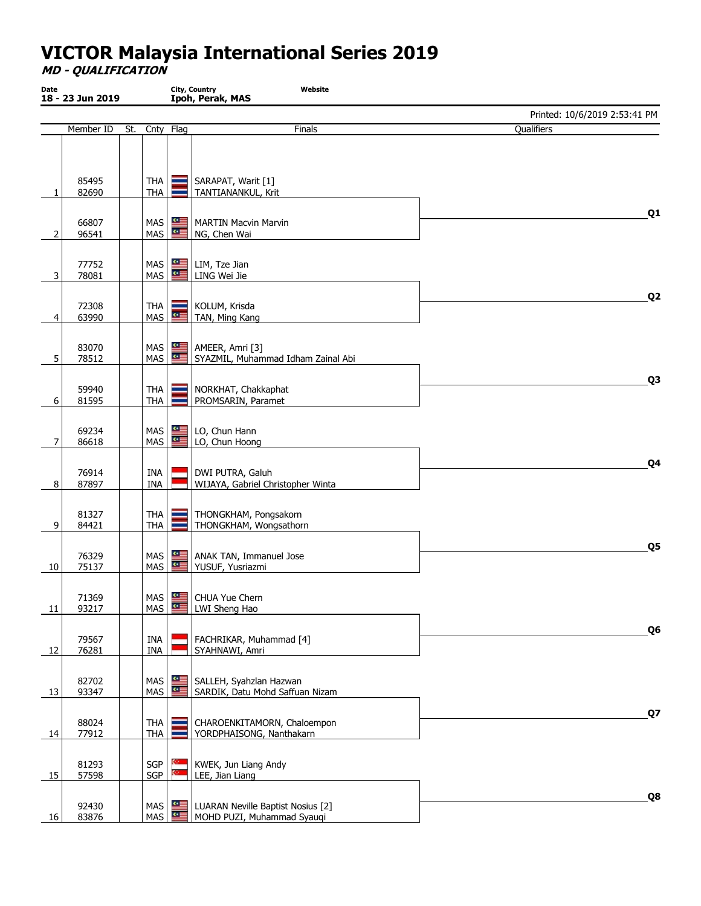MD - QUALIFICATION

| Date<br>18 - 23 Jun 2019 |                |     |                            | City, Country<br>Website<br>Ipoh, Perak, MAS |                                                                 |                               |  |  |  |  |
|--------------------------|----------------|-----|----------------------------|----------------------------------------------|-----------------------------------------------------------------|-------------------------------|--|--|--|--|
|                          |                |     |                            |                                              |                                                                 | Printed: 10/6/2019 2:53:41 PM |  |  |  |  |
|                          | Member ID      | St. | Cnty                       | Flag                                         | Finals                                                          | Qualifiers                    |  |  |  |  |
|                          | 85495<br>82690 |     | THA<br><b>THA</b>          |                                              | SARAPAT, Warit [1]<br>TANTIANANKUL, Krit                        |                               |  |  |  |  |
| 2                        | 66807<br>96541 |     | MAS<br>MAS                 | ≝<br>$\mathbf{e}$                            | MARTIN Macvin Marvin<br>NG, Chen Wai                            | Q <sub>1</sub>                |  |  |  |  |
| 3                        | 77752<br>78081 |     | MAS $\frac{dE}{dt}$<br>MAS | $\mathbf{e}$                                 | LIM, Tze Jian<br>LING Wei Jie                                   |                               |  |  |  |  |
| 4                        | 72308<br>63990 |     | THA<br>MAS                 | $\circ \equiv$                               | KOLUM, Krisda<br>TAN, Ming Kang                                 | Q <sub>2</sub>                |  |  |  |  |
| 5                        | 83070<br>78512 |     | MAS  <br>MAS               | 一<br>$\mathbf{e}$                            | AMEER, Amri [3]<br>SYAZMIL, Muhammad Idham Zainal Abi           |                               |  |  |  |  |
| 6                        | 59940<br>81595 |     | <b>THA</b><br><b>THA</b>   |                                              | NORKHAT, Chakkaphat<br>PROMSARIN, Paramet                       | Q <sub>3</sub>                |  |  |  |  |
| 7                        | 69234<br>86618 |     | MAS<br>MAS                 | $\mathbf{u}$<br>空画                           | LO, Chun Hann<br>LO, Chun Hoong                                 |                               |  |  |  |  |
| 8                        | 76914<br>87897 |     | INA<br><b>INA</b>          |                                              | DWI PUTRA, Galuh<br>WIJAYA, Gabriel Christopher Winta           | Q4                            |  |  |  |  |
| 9                        | 81327<br>84421 |     | <b>THA</b><br><b>THA</b>   |                                              | THONGKHAM, Pongsakorn<br>THONGKHAM, Wongsathorn                 |                               |  |  |  |  |
| 10                       | 76329<br>75137 |     | MAS<br>MAS                 | ≝≅<br>ᢡ                                      | ANAK TAN, Immanuel Jose<br>YUSUF, Yusriazmi                     | Q5                            |  |  |  |  |
| 11                       | 71369<br>93217 |     | $MAS$ $\frac{4}{5}$        |                                              | MAS   CHUA Yue Chern<br>LWI Sheng Hao                           |                               |  |  |  |  |
| 12                       | 79567<br>76281 |     | INA<br>INA                 |                                              | FACHRIKAR, Muhammad [4]<br>SYAHNAWI, Amri                       | Q <sub>6</sub>                |  |  |  |  |
| 13                       | 82702<br>93347 |     | MAS<br>MAS                 | ᢡ<br>$\mathbf{e}$                            | SALLEH, Syahzlan Hazwan<br>SARDIK, Datu Mohd Saffuan Nizam      |                               |  |  |  |  |
| 14                       | 88024<br>77912 |     | <b>THA</b><br><b>THA</b>   |                                              | CHAROENKITAMORN, Chaloempon<br>YORDPHAISONG, Nanthakarn         | Q7                            |  |  |  |  |
| 15                       | 81293<br>57598 |     | SGP<br>SGP                 |                                              | KWEK, Jun Liang Andy<br>LEE, Jian Liang                         |                               |  |  |  |  |
| 16                       | 92430<br>83876 |     | MAS                        | MAS $\frac{dE}{dt}$<br>$\bullet \equiv$      | LUARAN Neville Baptist Nosius [2]<br>MOHD PUZI, Muhammad Syauqi | Q8                            |  |  |  |  |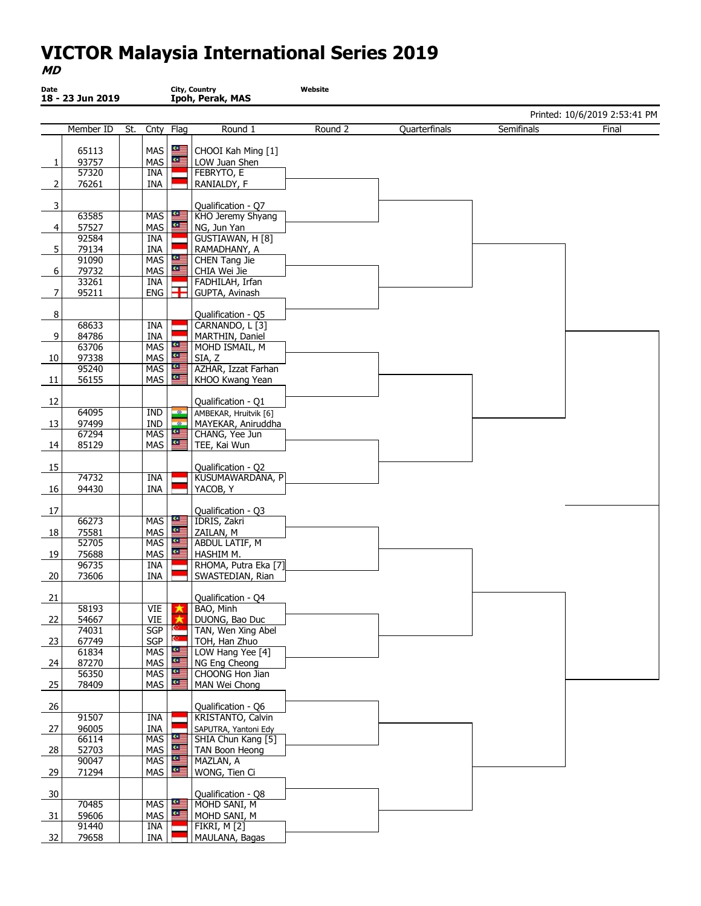#### MD

| Date                       | 18 - 23 Jun 2019 |     |                          |                       | City, Country<br>Ipoh, Perak, MAS         | Website |               |            |                               |
|----------------------------|------------------|-----|--------------------------|-----------------------|-------------------------------------------|---------|---------------|------------|-------------------------------|
|                            |                  |     |                          |                       |                                           |         |               |            | Printed: 10/6/2019 2:53:41 PM |
|                            | Member ID        | St. | Cnty                     | Flag                  | Round 1                                   | Round 2 | Quarterfinals | Semifinals | Final                         |
|                            | 65113            |     | MAS                      | ≝≅                    | CHOOI Kah Ming [1]                        |         |               |            |                               |
| 1                          | 93757            |     | MAS                      | $\mathbf{C}$          | LOW Juan Shen                             |         |               |            |                               |
|                            | 57320            |     | INA                      |                       | FEBRYTO, E                                |         |               |            |                               |
| $\overline{2}$             | 76261            |     | INA                      |                       | RANIALDY, F                               |         |               |            |                               |
|                            |                  |     |                          |                       |                                           |         |               |            |                               |
| $\overline{\mathbf{3}}$    | 63585            |     | MAS                      | 쪽                     | Qualification - Q7<br>KHO Jeremy Shyang   |         |               |            |                               |
| $\vert 4 \vert$            | 57527            |     | MAS                      | "                     | NG, Jun Yan                               |         |               |            |                               |
|                            | 92584            |     | INA                      |                       | GUSTIAWAN, H [8]                          |         |               |            |                               |
| 5                          | 79134            |     | <b>INA</b>               |                       | RAMADHANY, A                              |         |               |            |                               |
|                            | 91090            |     | <b>MAS</b>               | 些                     | <b>CHEN Tang Jie</b>                      |         |               |            |                               |
| $6 \overline{}$            | 79732            |     | MAS                      | $\bullet \equiv$      | CHIA Wei Jie                              |         |               |            |                               |
| 7                          | 33261<br>95211   |     | <b>INA</b><br><b>ENG</b> | Ŧ                     | FADHILAH, Irfan<br>GUPTA, Avinash         |         |               |            |                               |
|                            |                  |     |                          |                       |                                           |         |               |            |                               |
| 8                          |                  |     |                          |                       | Qualification - Q5                        |         |               |            |                               |
|                            | 68633            |     | INA                      |                       | CARNANDO, L [3]                           |         |               |            |                               |
| 9                          | 84786            |     | INA                      |                       | MARTHIN, Daniel                           |         |               |            |                               |
|                            | 63706            |     | <b>MAS</b>               | N<br>$\alpha$ =       | MOHD ISMAIL, M                            |         |               |            |                               |
| 10                         | 97338<br>95240   |     | MAS<br><b>MAS</b>        | ≝                     | SIA, Z<br>AZHAR, Izzat Farhan             |         |               |            |                               |
| 11                         | 56155            |     | MAS                      | $\alpha$ =            | KHOO Kwang Yean                           |         |               |            |                               |
|                            |                  |     |                          |                       |                                           |         |               |            |                               |
| 12                         |                  |     |                          |                       | Qualification - Q1                        |         |               |            |                               |
|                            | 64095            |     | IND                      | $-20-$                | AMBEKAR, Hruitvik [6]                     |         |               |            |                               |
| 13                         | 97499            |     | IND                      | $-90$<br>$\mathbf{e}$ | MAYEKAR, Aniruddha                        |         |               |            |                               |
| 14                         | 67294<br>85129   |     | <b>MAS</b><br>MAS        | 역                     | CHANG, Yee Jun<br>TEE, Kai Wun            |         |               |            |                               |
|                            |                  |     |                          |                       |                                           |         |               |            |                               |
| 15                         |                  |     |                          |                       | Qualification - Q2                        |         |               |            |                               |
|                            | 74732            |     | INA                      |                       | KUSUMAWARDANA, P                          |         |               |            |                               |
| 16                         | 94430            |     | INA                      |                       | YACOB, Y                                  |         |               |            |                               |
|                            |                  |     |                          |                       |                                           |         |               |            |                               |
| 17                         | 66273            |     | <b>MAS</b>               | <b>ISB</b>            | Qualification - Q3<br>IDRIS, Zakri        |         |               |            |                               |
| $\frac{18}{1}$             | 75581            |     | MAS                      | $\bullet \equiv$      | ZAILAN, M                                 |         |               |            |                               |
|                            | 52705            |     | <b>MAS</b>               | $\bullet \equiv$      | <b>ABDUL LATIF, M</b>                     |         |               |            |                               |
| 19                         | 75688            |     | MAS                      | 一                     | HASHIM M.                                 |         |               |            |                               |
|                            | 96735            |     | INA                      |                       | RHOMA, Putra Eka [7]                      |         |               |            |                               |
| 20                         | 73606            |     | INA                      |                       | SWASTEDIAN, Rian                          |         |               |            |                               |
| 21                         |                  |     |                          |                       | Qualification - Q4                        |         |               |            |                               |
|                            | 58193            |     | VIE                      |                       | BAO, Minh                                 |         |               |            |                               |
| 22                         | 54667            |     | VIE                      |                       | DUONG, Bao Duc                            |         |               |            |                               |
|                            | 74031            |     | SGP                      |                       | TAN, Wen Xing Abel                        |         |               |            |                               |
| $\overline{\phantom{0}23}$ | 67749<br>61834   |     | SGP<br><b>MAS</b>        | $rac{1}{\sqrt{2}}$    | TOH, Han Zhuo<br>LOW Hang Yee [4]         |         |               |            |                               |
| 24                         | 87270            |     | MAS                      | $\bullet \equiv$      | NG Eng Cheong                             |         |               |            |                               |
|                            | 56350            |     | <b>MAS</b>               | 华国                    | CHOONG Hon Jian                           |         |               |            |                               |
| $\frac{25}{2}$             | 78409            |     | MAS                      | ≝                     | MAN Wei Chong                             |         |               |            |                               |
|                            |                  |     |                          |                       |                                           |         |               |            |                               |
| 26                         |                  |     |                          |                       | Qualification - Q6                        |         |               |            |                               |
|                            | 91507<br>96005   |     | INA<br>INA               |                       | KRISTANTO, Calvin<br>SAPUTRA, Yantoni Edy |         |               |            |                               |
| 27                         | 66114            |     | MAS                      | œ                     | SHIA Chun Kang [5]                        |         |               |            |                               |
| 28                         | 52703            |     | MAS                      | œΞ                    | <b>TAN Boon Heong</b>                     |         |               |            |                               |
|                            | 90047            |     | <b>MAS</b>               | 空                     | MAZLAN, A                                 |         |               |            |                               |
| 29                         | 71294            |     | MAS                      | $\mathbf{u}$          | WONG, Tien Ci                             |         |               |            |                               |
|                            |                  |     |                          |                       |                                           |         |               |            |                               |
| 30                         | 70485            |     | <b>MAS</b>               | 些                     | Qualification - Q8<br>MOHD SANI, M        |         |               |            |                               |
| - 31                       | 59606            |     | MAS                      | 竺                     | MOHD SANI, M                              |         |               |            |                               |
|                            | 91440            |     | INA                      |                       | FIKRI, M $[2]$                            |         |               |            |                               |
| 32                         | 79658            |     | INA                      |                       | MAULANA, Bagas                            |         |               |            |                               |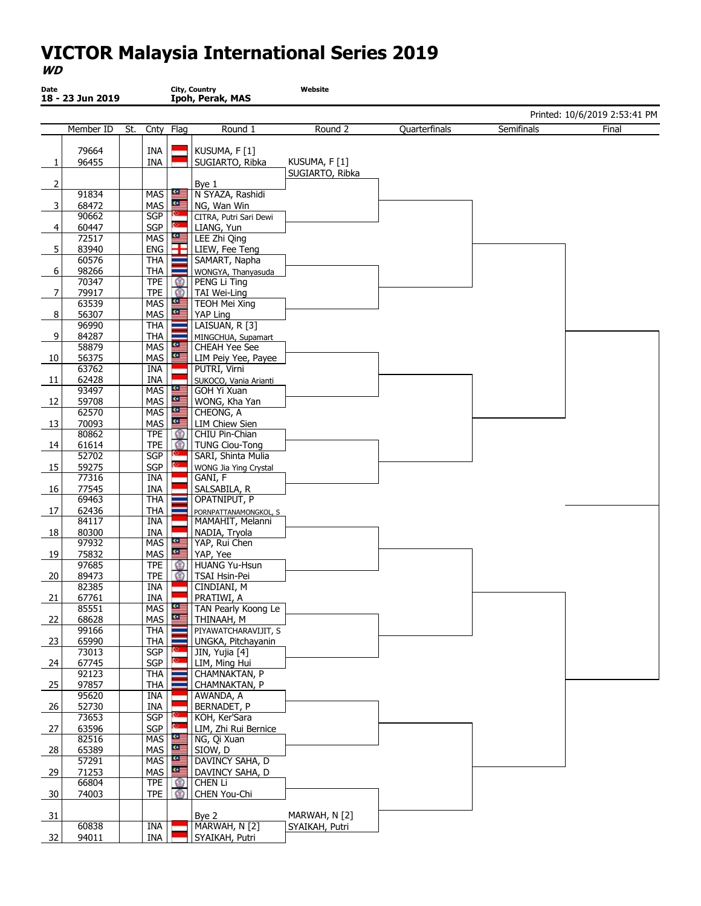#### WD

| Date           | 18 - 23 Jun 2019 |     |                          |                         | City, Country<br>Ipoh, Perak, MAS       | Website         |               |            |                               |
|----------------|------------------|-----|--------------------------|-------------------------|-----------------------------------------|-----------------|---------------|------------|-------------------------------|
|                |                  |     |                          |                         |                                         |                 |               |            | Printed: 10/6/2019 2:53:41 PM |
|                | Member ID        | St. | Cnty                     | Flag                    | Round 1                                 | Round 2         | Quarterfinals | Semifinals | Final                         |
|                | 79664            |     | INA                      |                         | KUSUMA, F [1]                           |                 |               |            |                               |
| 1              | 96455            |     | <b>INA</b>               |                         | SUGIARTO, Ribka                         | KUSUMA, F[1]    |               |            |                               |
|                |                  |     |                          |                         |                                         | SUGIARTO, Ribka |               |            |                               |
| 2              | 91834            |     | <b>MAS</b>               | 인                       | Bye 1<br>N SYAZA, Rashidi               |                 |               |            |                               |
| 3              | 68472            |     | MAS                      | 一                       | NG, Wan Win                             |                 |               |            |                               |
|                | 90662            |     | SGP                      |                         | CITRA, Putri Sari Dewi                  |                 |               |            |                               |
| 4              | 60447            |     | SGP                      |                         | LIANG, Yun                              |                 |               |            |                               |
|                | 72517            |     | <b>MAS</b>               |                         | LEE Zhi Qing                            |                 |               |            |                               |
| 5              | 83940<br>60576   |     | <b>ENG</b><br><b>THA</b> |                         | LIEW, Fee Teng<br>SAMART, Napha         |                 |               |            |                               |
| 6              | 98266            |     | <b>THA</b>               |                         | WONGYA, Thanyasuda                      |                 |               |            |                               |
|                | 70347            |     | <b>TPE</b>               | $\circ$                 | PENG Li Ting                            |                 |               |            |                               |
| 7              | 79917            |     | <b>TPE</b>               | $\circ$<br>$\mathbf{C}$ | TAI Wei-Ling                            |                 |               |            |                               |
| 8              | 63539<br>56307   |     | <b>MAS</b><br>MAS        | <u>o≡</u>               | <b>TEOH Mei Xing</b><br>YAP Ling        |                 |               |            |                               |
|                | 96990            |     | <b>THA</b>               |                         | LAISUAN, R [3]                          |                 |               |            |                               |
| 9              | 84287            |     | <b>THA</b>               |                         | MINGCHUA, Supamart                      |                 |               |            |                               |
|                | 58879            |     | <b>MAS</b>               | $\mathbf{C}$            | <b>CHEAH Yee See</b>                    |                 |               |            |                               |
| 10             | 56375            |     | MAS                      | $\bullet \equiv$        | LIM Peiy Yee, Payee                     |                 |               |            |                               |
| - 11           | 63762<br>62428   |     | INA<br>INA               |                         | PUTRI, Virni<br>SUKOCO, Vania Arianti   |                 |               |            |                               |
|                | 93497            |     | MAS                      | ≝                       | GOH Yi Xuan                             |                 |               |            |                               |
| 12             | 59708            |     | MAS                      | 여                       | WONG, Kha Yan                           |                 |               |            |                               |
|                | 62570            |     | MAS                      | å                       | CHEONG, A                               |                 |               |            |                               |
| 13             | 70093<br>80862   |     | MAS<br><b>TPE</b>        | 一<br>$\circ$            | <b>LIM Chiew Sien</b><br>CHIU Pin-Chian |                 |               |            |                               |
| 14             | 61614            |     | <b>TPE</b>               | œ.                      | <b>TUNG Ciou-Tong</b>                   |                 |               |            |                               |
|                | 52702            |     | <b>SGP</b>               |                         | SARI, Shinta Mulia                      |                 |               |            |                               |
| 15             | 59275            |     | SGP                      |                         | WONG Jia Ying Crystal                   |                 |               |            |                               |
|                | 77316            |     | <b>INA</b>               |                         | GANI, F                                 |                 |               |            |                               |
| 16             | 77545<br>69463   |     | INA<br><b>THA</b>        |                         | SALSABILA, R<br>OPATNIPUT, P            |                 |               |            |                               |
| 17             | 62436            |     | <b>THA</b>               |                         | PORNPATTANAMONGKOL, S                   |                 |               |            |                               |
|                | 84117            |     | INA                      |                         | MAMAHIT, Melanni                        |                 |               |            |                               |
| 18             | 80300            |     | INA                      |                         | NADIA, Tryola                           |                 |               |            |                               |
|                | 97932<br>75832   |     | <b>MAS</b><br>MAS        | $\mathbf{C}$<br>一       | YAP, Rui Chen<br>YAP, Yee               |                 |               |            |                               |
| 19             | 97685            |     | <b>TPE</b>               | $\circ$                 | <b>HUANG Yu-Hsun</b>                    |                 |               |            |                               |
| 20             | 89473            |     | <b>TPE</b>               |                         | TSAI Hsin-Pei                           |                 |               |            |                               |
|                | 82385            |     | INA                      |                         | CINDIANI, M                             |                 |               |            |                               |
| 21             | 67761            |     | INA                      | $\mathbf{C}$            | PRATIWI, A                              |                 |               |            |                               |
| 22             | 85551<br>68628   |     | MAS<br>MAS               | $\bullet \equiv$        | TAN Pearly Koong Le<br>THINAAH, M       |                 |               |            |                               |
|                | 99166            |     | <b>THA</b>               |                         | PIYAWATCHARAVIJIT, S                    |                 |               |            |                               |
| 23             | 65990            |     | <b>THA</b>               |                         | UNGKA, Pitchayanin                      |                 |               |            |                               |
|                | 73013            |     | <b>SGP</b>               |                         | JIN, Yujia [4]                          |                 |               |            |                               |
| 24             | 67745<br>92123   |     | <b>SGP</b><br><b>THA</b> |                         | LIM, Ming Hui<br>CHAMNAKTAN, P          |                 |               |            |                               |
| 25             | 97857            |     | <b>THA</b>               |                         | CHAMNAKTAN, P                           |                 |               |            |                               |
|                | 95620            |     | INA                      |                         | AWANDA, A                               |                 |               |            |                               |
| 26             | 52730            |     | INA                      |                         | BERNADET, P                             |                 |               |            |                               |
|                | 73653            |     | SGP                      |                         | KOH, Ker'Sara                           |                 |               |            |                               |
| 27             | 63596<br>82516   |     | SGP<br><b>MAS</b>        |                         | LIM, Zhi Rui Bernice<br>NG, Qi Xuan     |                 |               |            |                               |
| 28             | 65389            |     | MAS                      |                         | SIOW, D                                 |                 |               |            |                               |
|                | 57291            |     | <b>MAS</b>               |                         | DAVINCY SAHA, D                         |                 |               |            |                               |
| 29             | 71253            |     | MAS                      | ∾≡                      | DAVINCY SAHA, D                         |                 |               |            |                               |
|                | 66804<br>74003   |     | <b>TPE</b><br><b>TPE</b> | $\circ$<br>Ω            | CHEN Li<br>CHEN You-Chi                 |                 |               |            |                               |
| $\frac{30}{2}$ |                  |     |                          |                         |                                         |                 |               |            |                               |
| 31             |                  |     |                          |                         | Bye 2                                   | MARWAH, N [2]   |               |            |                               |
|                | 60838            |     | INA                      |                         | MARWAH, N [2]                           | SYAIKAH, Putri  |               |            |                               |
| 32             | 94011            |     | INA                      |                         | SYAIKAH, Putri                          |                 |               |            |                               |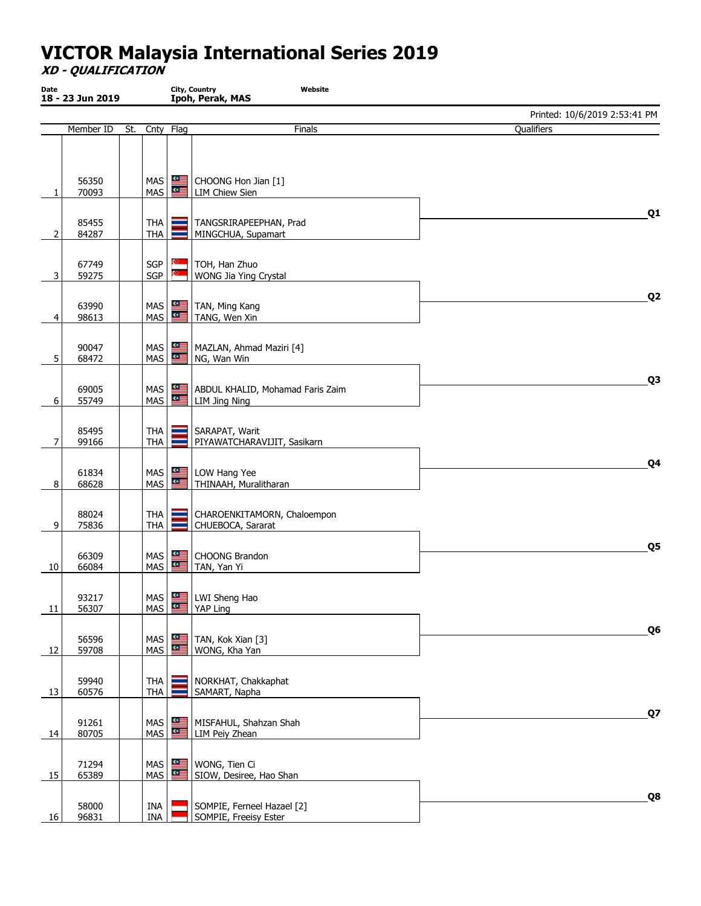XD - QUALIFICATION

| Date<br>18 - 23 Jun 2019 |                |     |                                              | City, Country<br>Website<br>Ipoh, Perak, MAS |                                                     |                               |  |  |  |  |
|--------------------------|----------------|-----|----------------------------------------------|----------------------------------------------|-----------------------------------------------------|-------------------------------|--|--|--|--|
|                          |                |     |                                              |                                              |                                                     | Printed: 10/6/2019 2:53:41 PM |  |  |  |  |
|                          | Member ID      | St. |                                              | Cnty Flag                                    | Finals                                              | Qualifiers                    |  |  |  |  |
|                          | 56350<br>70093 |     | MAS<br><b>MAS</b>                            | 뜨<br>$\mathbf{e}$                            | CHOONG Hon Jian [1]<br>LIM Chiew Sien               |                               |  |  |  |  |
| 2                        | 85455<br>84287 |     | THA<br><b>THA</b>                            |                                              | TANGSRIRAPEEPHAN, Prad<br>MINGCHUA, Supamart        | Q <sub>1</sub>                |  |  |  |  |
| 3                        | 67749<br>59275 |     | SGP<br>SGP                                   |                                              | TOH, Han Zhuo<br>WONG Jia Ying Crystal              |                               |  |  |  |  |
| 4                        | 63990<br>98613 |     | MAS $\frac{dE}{dt}$<br>MAS                   | 竺                                            | TAN, Ming Kang<br>TANG, Wen Xin                     | Q <sub>2</sub>                |  |  |  |  |
| 5                        | 90047<br>68472 |     | MAS                                          | $MAS$ $\frac{a}{2}$<br>$rac{1}{\sqrt{2}}$    | MAZLAN, Ahmad Maziri [4]<br>NG, Wan Win             |                               |  |  |  |  |
| 6                        | 69005<br>55749 |     | $MAS$ $\frac{dE}{dt}$                        | $MAS$ $\frac{dE}{dt}$                        | ABDUL KHALID, Mohamad Faris Zaim<br>LIM Jing Ning   | Q <sub>3</sub>                |  |  |  |  |
| 7                        | 85495<br>99166 |     | <b>THA</b><br><b>THA</b>                     |                                              | SARAPAT, Warit<br>PIYAWATCHARAVIJIT, Sasikarn       |                               |  |  |  |  |
| 8                        | 61834<br>68628 |     | <b>MAS</b><br>MAS                            | $\mathbf{C}$<br>$\mathbf{e}$                 | LOW Hang Yee<br>THINAAH, Muralitharan               | Q4                            |  |  |  |  |
| 9                        | 88024<br>75836 |     | THA<br><b>THA</b>                            |                                              | CHAROENKITAMORN, Chaloempon<br>CHUEBOCA, Sararat    |                               |  |  |  |  |
| 10                       | 66309<br>66084 |     | MAS<br>$MAS$ $\frac{dE}{dt}$                 | ᢡ                                            | CHOONG Brandon<br>TAN, Yan Yi                       | Q5                            |  |  |  |  |
| 11                       | 93217<br>56307 |     |                                              | MAS <b>4</b>                                 | MAS   LWI Sheng Hao<br>YAP Ling                     |                               |  |  |  |  |
| 12                       | 56596<br>59708 |     | MAS<br>$MAS$ $\frac{dE}{dt}$                 | 쪽                                            | TAN, Kok Xian [3]<br>WONG, Kha Yan                  | Q <sub>6</sub>                |  |  |  |  |
| 13                       | 59940<br>60576 |     | <b>THA</b><br><b>THA</b>                     |                                              | NORKHAT, Chakkaphat<br>SAMART, Napha                |                               |  |  |  |  |
| 14                       | 91261<br>80705 |     | <b>MAS</b><br>MAS                            | ≝                                            | MISFAHUL, Shahzan Shah<br>LIM Peiy Zhean            | Q7                            |  |  |  |  |
| 15                       | 71294<br>65389 |     | $MAS$ $\frac{4}{5}$<br>$MAS$ $\frac{dE}{dt}$ |                                              | WONG, Tien Ci<br>SIOW, Desiree, Hao Shan            |                               |  |  |  |  |
| 16                       | 58000<br>96831 |     | INA<br>INA                                   |                                              | SOMPIE, Ferneel Hazael [2]<br>SOMPIE, Freeisy Ester | Q8                            |  |  |  |  |